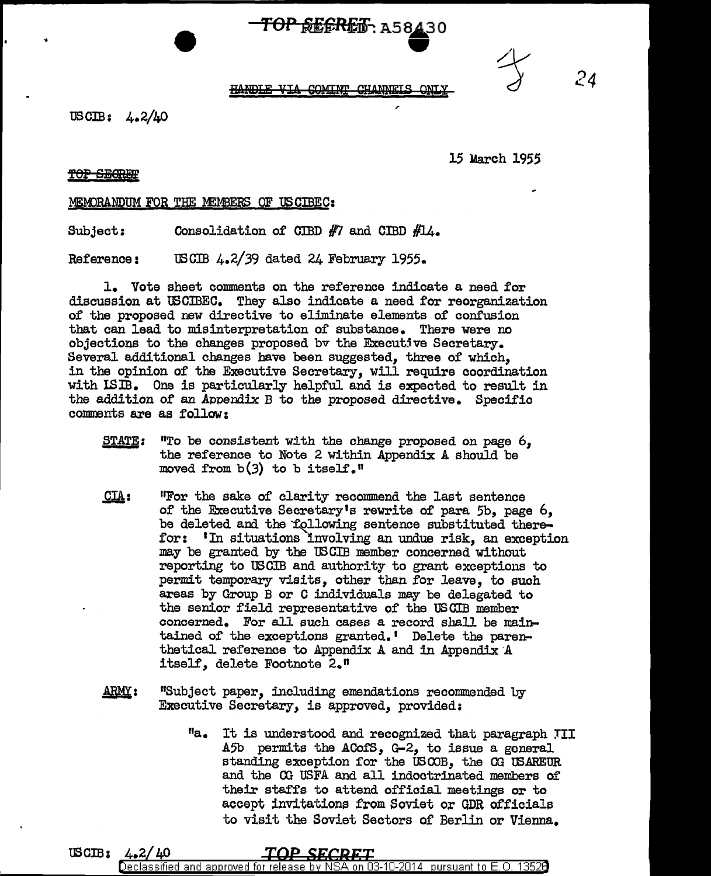# $\overline{TOP}$ **REGRET**, A58430



*24* 

### HANDLE VIA COMINT CHANNELS ONLY

USCIB: 4.2/40

15 March 1955

**TOP SEGREE** 

MEMORANDUM FOR THE MEMBERS OF USCIBEC:

Subject: Consolidation of CIBD  $#7$  and CIBD  $#14$ .

Reference: USCIB 4.2/39 dated 24 February 1955.

1. Vote sheet comments on the reference indicate a need for discussion at USCIBEC. They also indicate a need for reorganization of the proposed new directive to eliminate elements of confusion that can lead to misinterpretation of substance. There were no objections to the changes proposed by the Executive Secretary. Several additional changes have been suggested, three of which, in the opinion of the Executive Secretary, will require coordination with ISIB. One is particularly helpful and is expected to result in the addition of an Appendix B to the proposed directive. Specific comments are as follow:

- STATE: "To be consistent with the change proposed on page 6, the reference to Note 2 within Appendix A should be moved from  $b(3)$  to b itself."
- $CLA:$ 11For the sake of clarity recommend the last sentence of the Executive Secretary's rewrite of para 5b, page 6, be deleted and the 'following sentence substituted therefor: 1In situations 'involving an undue risk, an exception may be granted by the US GIB member concerned without reporting to USCIB and authority to grant exceptions to permit temporary visits, other than for leave, to such areas by Group B or C individuals may be delegated to the senior field representative of the USOIB member concerned. For all such cases a record shall be maintained of the exceptions granted. ' Delete the parenthetical reference to Appendix A and in Appendix A itself, delete Footnote 2."
- $ARMY:$ "Subject paper, including emendations recommended by Executive Secretary, is approved, provided:
	- "a. It is understood and recognized that paragraph TII A5b permits the ACofS, G-2, to issue a general standing exception for the USCOB, the CG USAREUR and the 00 USFA and all indoctrinated members of their staffs to attend official meetings or to accept invitations from Soviet or GDR officials to visit the Soviet Sectors of Berlin or Vienna.

USCIB: 4.2/40 Declassified and approved for release by NS A on 03-10-2014 pursuant to E.O. 13526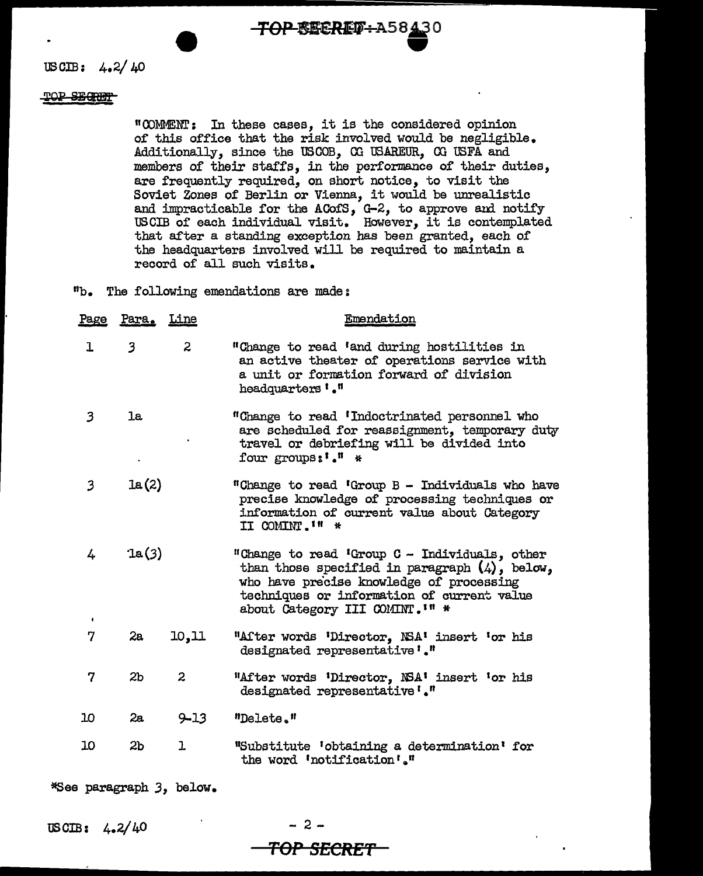**TOP-BECRET-A58430** 

USCIB:  $4.2/40$ 

### POP SECRET

"COMMENT: In these cases, it is the considered opinion of this office that the risk involved would be negligible. Additionally, since the USCOB, CG 'OSAREUR, CG USFA and members of their staffs, in the performance of their duties, are frequently required, on short notice, to visit the Soviet Zones of Berlin or Vienna, it would be unrealistic and impracticable for the ACofS, G-2, to approve and notify USCIB of each individual visit. However, it is contemplated that after a standing exception has been granted, each of the headquarters involved will be required to maintain a record of all such visits.

19b. The following emendations are made:

| <u>Page</u>         | <u>Para. Line</u>       |                | Emendation                                                                                                                                                                                                                     |
|---------------------|-------------------------|----------------|--------------------------------------------------------------------------------------------------------------------------------------------------------------------------------------------------------------------------------|
| ı                   | $\overline{\mathbf{3}}$ | $\overline{2}$ | "Change to read 'and during hostilities in<br>an active theater of operations service with<br>a unit or formation forward of division<br>headquarters '."                                                                      |
| 3                   | 1a                      |                | "Change to read 'Indoctrinated personnel who<br>are scheduled for reassignment, temporary duty<br>travel or debriefing will be divided into<br>four groups:'." *                                                               |
| 3                   | 1a(2)                   |                | "Change to read 'Group B - Individuals who have<br>precise knowledge of processing techniques or<br>information of current value about Category<br>II COMINT. I'' *                                                            |
| 4<br>$\blacksquare$ | $\mathfrak{a}(3)$       |                | "Change to read 'Group C - Individuals, other<br>than those specified in paragraph $(4)$ , below,<br>who have precise knowledge of processing<br>techniques or information of current value<br>about Category III COMINT. I' * |
| 7                   | 2a                      | 10, 11         | "After words 'Director, NSA' insert 'or his<br>designated representative'."                                                                                                                                                    |
| 7                   | 2 <sub>b</sub>          | $\mathbf{2}$   | "After words 'Director, NSA' insert 'or his<br>designated representative '."                                                                                                                                                   |
| 10                  | 2a                      | $9 - 13$       | "Delete."                                                                                                                                                                                                                      |
| 10                  | 2 <sub>b</sub>          | ı              | "Substitute 'obtaining a determination' for<br>the word 'notification'."                                                                                                                                                       |

\*See paragraph *3,* below.

USOIB: 4.2/ 40

 $-2 -$ **TOP SECRET**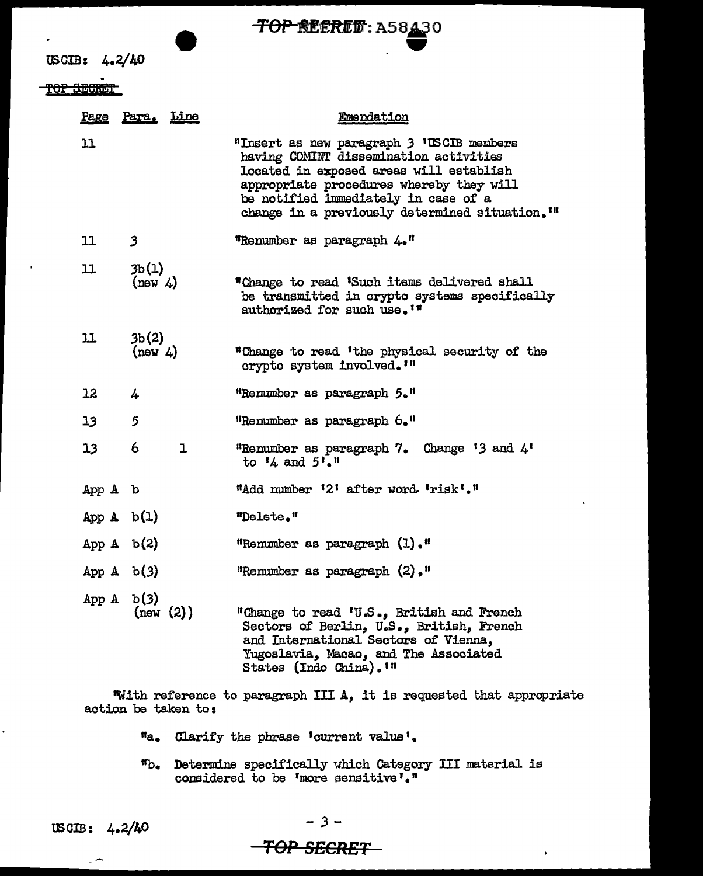

USCIB: 4.2/40

TOP SECRET

|                 | Page Para. Line   | Emendation                                                                                                                                                                                                                                                                       |
|-----------------|-------------------|----------------------------------------------------------------------------------------------------------------------------------------------------------------------------------------------------------------------------------------------------------------------------------|
| 11              |                   | "Insert as new paragraph 3 'USCIB members<br>having COMINT dissemination activities<br>located in exposed areas will establish<br>appropriate procedures whereby they will<br>be notified immediately in case of a<br>change in a previously determined situation. <sup>1"</sup> |
| 11              | $\mathbf{3}$      | "Remumber as paragraph 4."                                                                                                                                                                                                                                                       |
| 11              | 3b(1)<br>(new 4)  | "Change to read 'Such items delivered shall<br>be transmitted in crypto systems specifically<br>authorized for such use. <sup>10</sup>                                                                                                                                           |
| 11              | 3b(2)<br>(new 4)  | "Change to read 'the physical security of the<br>crypto system involved. '"                                                                                                                                                                                                      |
| 12              | 4                 | "Remumber as paragraph 5."                                                                                                                                                                                                                                                       |
| 13              | 5                 | "Renumber as paragraph 6."                                                                                                                                                                                                                                                       |
| 13 <sub>1</sub> | 6<br>$\mathbf{I}$ | "Remumber as paragraph 7. Change $'3$ and $4'$<br>to $14$ and $5!\cdot 1$                                                                                                                                                                                                        |
| App A b         |                   | "Add number '2' after word 'risk'."                                                                                                                                                                                                                                              |
| App $A$ b(1)    |                   | "Delete."                                                                                                                                                                                                                                                                        |
| App $A$ b(2)    |                   | "Renumber as paragraph (1)."                                                                                                                                                                                                                                                     |
| App $A$ b(3)    |                   | "Renumber as paragraph $(2)$ ,"                                                                                                                                                                                                                                                  |
| App $A$ b(3)    | (new (2))         | "Change to read 'U.S., British and French<br>Sectors of Berlin, U.S., British, French<br>and International Sectors of Vienna,<br>Yugoslavia, Macao, and The Associated<br>States (Indo China). In                                                                                |

"With reference to paragraph III A, it is requested that appropriate action be taken to:

- Clarify the phrase •current value'.
- Determine specifically which Category III material is considered to be 'more sensitive'."

 $\overline{a}$ 

*-3-*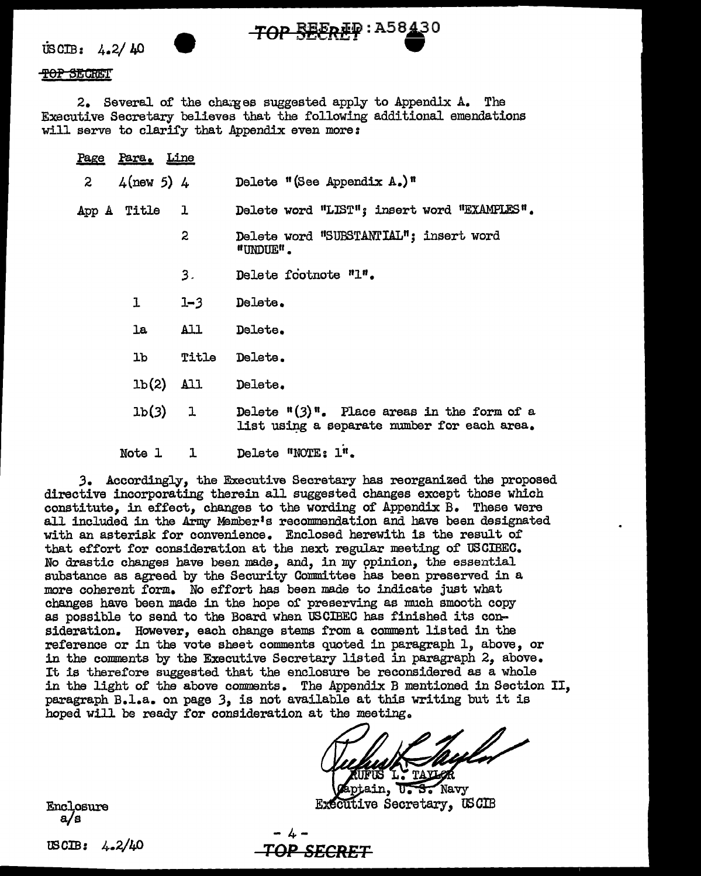$\text{USCIB:}$  4.2/40

### <del>TOP SECRE</del>T

2. Several of the charges suggested apply to Appendix A. The Executive Secretary believes that the following additional emendations will serve to clarify that Appendix even more:

TOP SEEREP: A58430

|                | Page Para. Line |              |                                                                                                           |
|----------------|-----------------|--------------|-----------------------------------------------------------------------------------------------------------|
| $\overline{z}$ | $4$ (new 5) $4$ |              | Delete "(See Appendix $A_{\bullet}$ )"                                                                    |
|                | App A Title 1   |              | Delete word "LIST"; insert word "EXAMPLES".                                                               |
|                |                 | $\mathbf{2}$ | Delete word "SUBSTANTIAL"; insert word<br>"UNDUE".                                                        |
|                |                 | 3.           | Delete footnote "1".                                                                                      |
|                | $\mathbf{1}$    | $1 - 3$      | Delete.                                                                                                   |
|                |                 | la All       | Delete.                                                                                                   |
|                |                 | lb Title     | Delete.                                                                                                   |
|                |                 | $1b(2)$ All  | Delete.                                                                                                   |
|                |                 | 1b(3) 1      | Delete $\frac{\pi(3)}{\pi}$ . Place areas in the form of a<br>list using a separate number for each area. |
|                | Note 1          | ı            | Delete "NOTE: 1".                                                                                         |

3. Accordingly, the Executive Secretary has reorganized the proposed directive incorporating therein all suggested changes except those which constitute. in effect, changes to the wording of Appendix B. These were all included in the Army Member's recommendation and have been designated with an asterisk for convenience. Enclosed herewith is the result of that effort for consideration at the next regular meeting of USCIBEC. No drastic changes have been made, and, in my opinion, the essential substance as agreed by the Security Committee has been preserved in a more coherent form. No effort has been made to indicate just what changes have been made in the hope of preserving as much smooth copy as possible to send to the Board when USCIBEC has finished its consideration. However, each change stems from a comment listed in the reference or in the vote sheet comments quoted in paragraph 1, above, or in the comments by the Executive Secretary listed in paragraph 2, above. It is therefore suggested that the enclosure be reconsidered as a whole in the light of the above comments. The Appendix B mentioned in Section II, paragraph B.l.a. on page 3, is not available at this writing but it is hoped will be ready for consideration at the meeting.

Navy **Executive Secretary, USCIB** 

Enclosure  $a/s$ 

USCIB:  $4.2/40$ 

"<del>OP SECRET</del>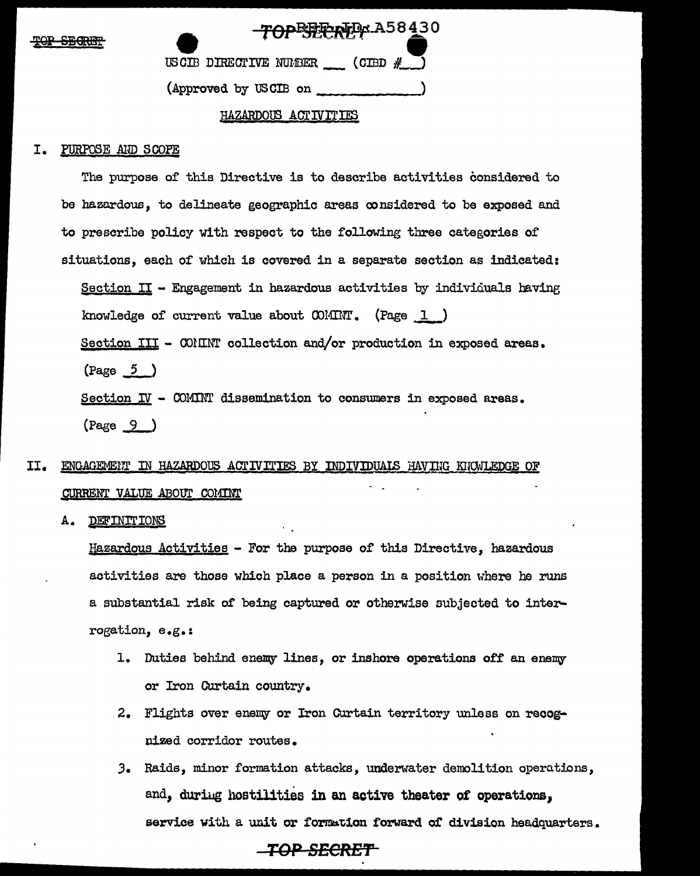| סמיו | <b>CRADIM</b>  |
|------|----------------|
| $-2$ | <u>JEVELIL</u> |

| TOPETERTP A58430                   |  |
|------------------------------------|--|
| USCIB DIRECTIVE NUMBER (CIBD $#$ ) |  |
| (Approved by USCIB on              |  |

### HAZARDOUS ACTIVITIES

### PURPOSE AND SCOPE I.

The purpose of this Directive is to describe activities considered to be hazardous, to delineate geographic areas considered to be exposed and to prescribe policy with respect to the following three categories of situations, each of which is covered in a separate section as indicated: Section II - Engagement in hazardous activities by individuals having knowledge of current value about  $\text{CO}$ IIIIT. (Page 1) Section III - COMINT collection and/or production in exposed areas.  $\frac{5}{2}$ Section  $I\!V$  - COMINT dissemination to consumers in exposed areas.  $(Page \ 9)$ 

### II. ENGAGEMENT IN HAZARDOUS ACTIVITIES BY INDIVIDUALS HAVING KNOWLEDGE OF CURRENT VALUE ABOUT COMINT

Α. DEFINITIONS

> Hazardous Activities - For the purpose of this Directive, hazardous activities are those which place a person in a position where he runs a substantial risk of being captured or otherwise subjected to interrogation, e.g.:

- 1. Duties behind enemy lines, or inshore operations off an enemy or Iron Curtain country.
- 2. Flights over enemy or Iron Curtain territory unless on recognized corridor routes.
- 3. Raids, minor formation attacks, underwater demolition operations, and, during hostilities in an active theater of operations, service with a unit or formation forward of division headquarters.

### \_TOP\_SECRET\_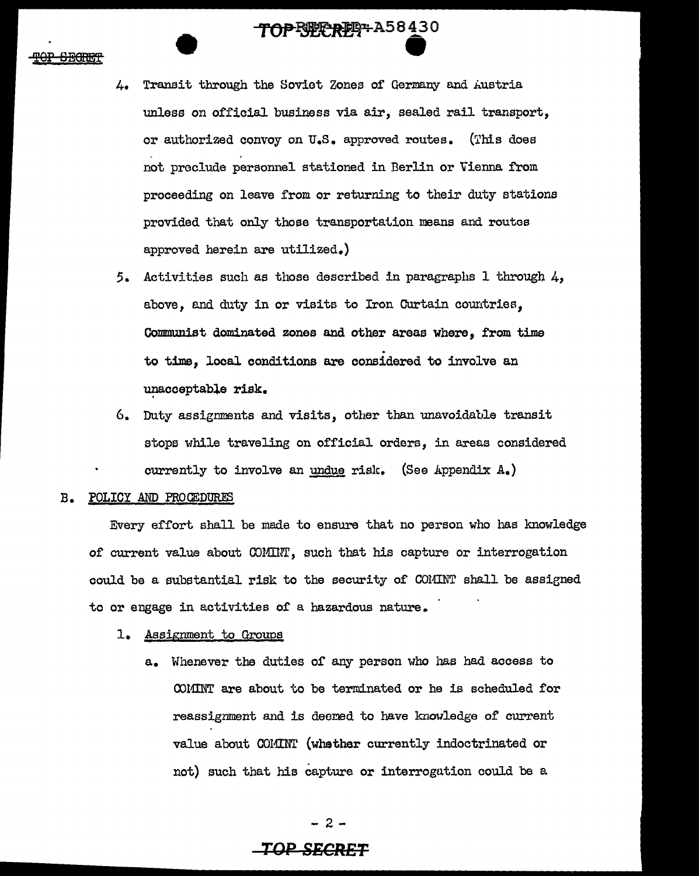- 4. Transit through the Soviet Zones of Germany and Austria unless on official business via air, sealed rail transport, or authorized convoy on U.S. approved routes. (This does not preclude personnel stationed in Berlin or Vienna from proceeding on leave from or returning to their duty stations provided that only those transportation means and routes approved herein are utilized.)
- 5. Activities such as those described in paragraphs  $1$  through  $4$ , above, and duty in or visits to Iron Curtain countries, Communist dominated zones and other areas where, from time to time, local conditions are considered to involve an unacceptable risk.
- 6. Duty assignments and visits, other than unavoidable transit stops while traveling on official orders, in areas considered currently to involve an undue risk. (See Appendix  $A_{\bullet}$ )

### B. POLICY AND PROCEDURES

Every effort shall be made to ensure that no person who has knowledge of current value about COMIIIT', such that his capture or interrogation could be a substantial risk to the security of COMINT shall be assigned to or engage in activities of a hazardous nature.

### 1. Assignment to Groups

a. Whenever the duties of any person who has had access to COMINT are about to be terminated or he is scheduled for reassignment and is deemed to have knowledge of current value about COMINT (whether currently indoctrinated or not) such that his capture or interrogation could be a

- 2 -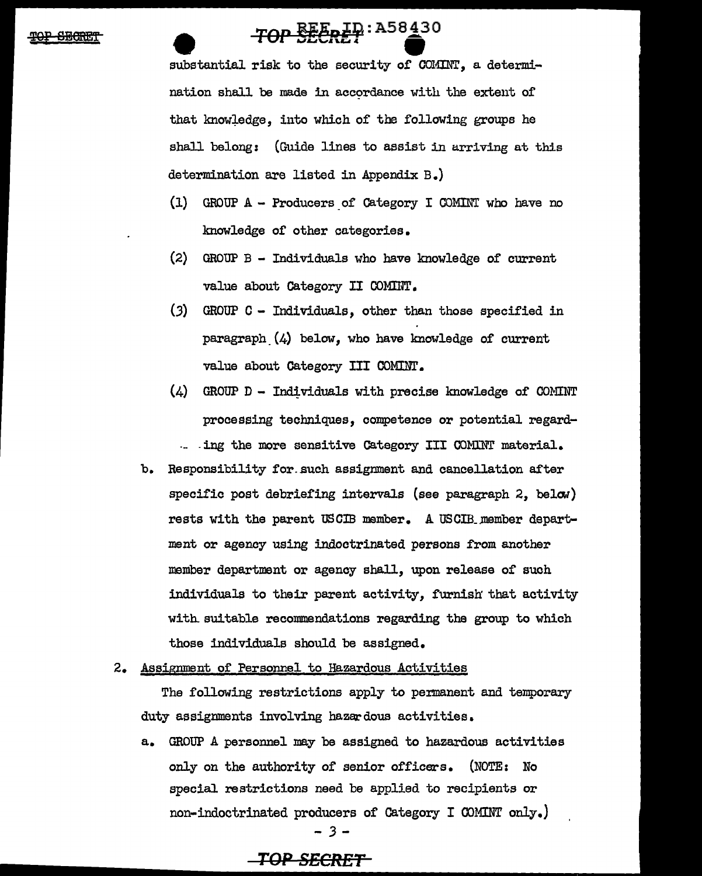## TOP SEERET A58430

substantial risk to the security of COMINT, a determination shall be made in accordance with the extent of that knowledge, into which of the following groups he shall belong: (Guide lines to assist in arriving at this determination are listed in Appendix B.)

- (1) GROUP A Producers of Category I COMINT who have no knowledge of other categories.
- (2) GROUP B Individuals who have knowledge of current value about Category II COMIIIT.
- (3) GROUP C Individuals, other than those specified in paragraph  $(4)$  below, who have knowledge of current value about Category III COMINT.
- $(4)$  GROUP D Individuals with precise knowledge of COMINT processing techniques, competence or potential regard- - ing the more sensitive Category III COMINT material.
- b. Responsibility for such assignment and cancellation after specific post debriefing intervals (see paragraph  $2$ , below) rests with the parent USCIB member. A USCIR.member department or agency using indoctrinated persons from another member department or agency shall, upon release of such individuals to their parent activity, furnish that activity with suitable recommendations regarding the group to which those individuals should be assigned.
- 2. Assignment of Personnel to Hazardous Activities

The following restrictions apply to permanent and temporary duty assignments involving hazardous activities.

a. GROUP A personnel may be assigned to hazardous activities only on the authority of senior officers. (NOTE: No special restrictions need be applied to recipients or non-indoctrinated producers of Category I OOMINT only.} *-3-*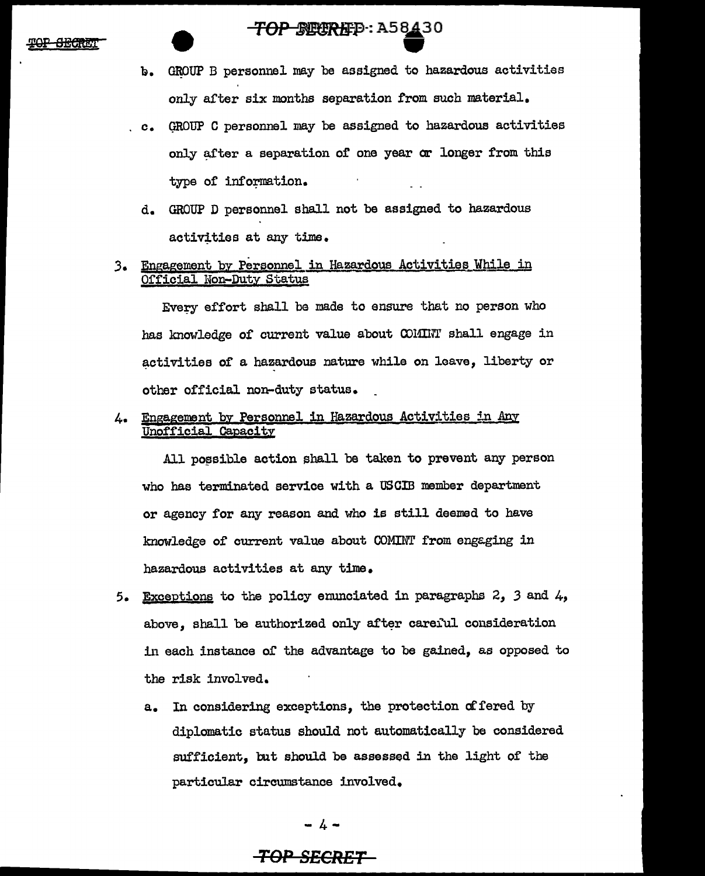### TOP STORED: A58430

- b. GROUP B personnel may be assigned to hazardous activities only after six months separation from such material.
- c. GROUP C personnel may be assigned to hazardous activities only after a separation of one year or longer from this type of information.
- d. GROUP D personnel shall not be assigned to hazardous activities at any time.
- 3. Engagement by Personnel in Hazardous Activities While in Official Non-Duty Status

Evecy effort shall be made to ensure that no person who has knowledge of current value about OOHIIIT shall engage in activities of a hazardous nature while on leave, liberty or other official non-duty status.

4. Engagement by Personnel in Hazardous Activities in Any Unofficial Capacity

All possible action shall be taken to prevent any person who has terminated service with a USCIB member department or agency for any reason and who is still deemed to have knowledge of current value about COMINT from engaging in hazardous activities at any time.

- 5. Exceptions to the policy enunciated in paragraphs 2, *3* and 4, above. shall be authorized only after careful consideration in each instance of the advantage to be gained, as opposed to the risk involved.
	- a. In considering exceptions, the protection of fered by diplomatic status should not automatically be considered sufficient, but should be assessed in the light of the particular circumstance involved.

 $- 4 -$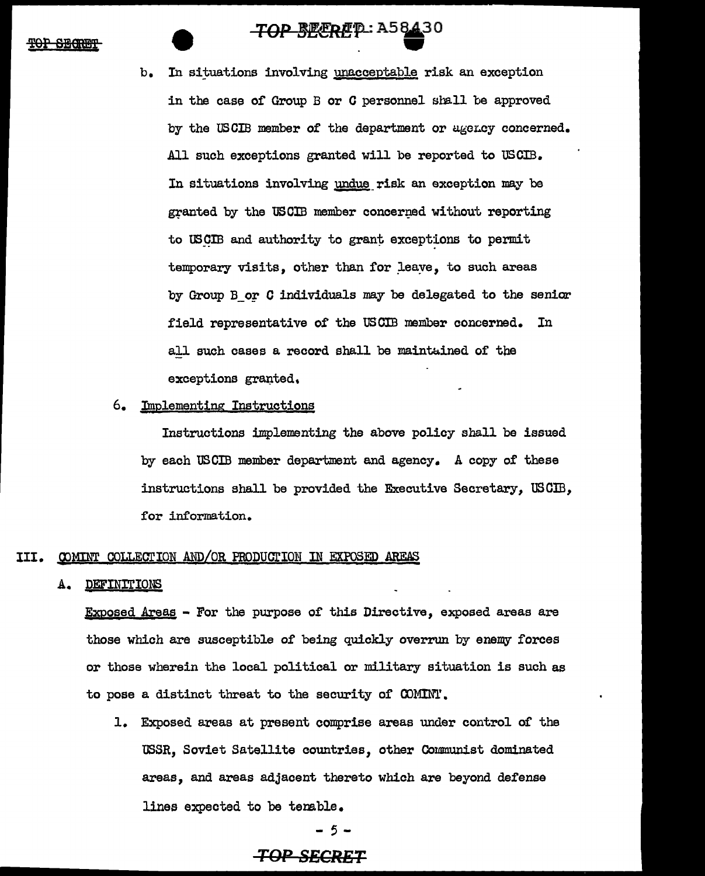### <del>TOP BECRE</del>P: A58430

TOP BEERET : A5843 In situations involving unacceptable risk an exception in the case of Group  $B$  or  $C$  personnel shall be approved by the USCIB member of the department or agency concerned. All such exceptions granted will be reported to USCIB. In situations involving undue risk an exception may be granted by the USCIB member concerned without reporting to USCIB and authority to grant exceptions to permit temporary visits, other than for leave, to such areas by Group B or C individuals may be delegated to the senior field representative of the USCIB member concerned. In all such cases a record shall be maintained of the exceptions granted.

### 6. Implementing Instructions

Instructions implementing the above policy shall be issued by each US CIB member department and agency. A copy of these instructions shall be provided the Executive Secretary, USCIB, for information.

### III. COMINT COLLECTION AND/OR PRODUCTION IN EXPOSED AREAS

### A. DEFINITIONS

Exposed Areas - For the purpose or this Directive, exposed areas are those which are susceptible of being quickly overrun by enemy forces or those wherein the local political or military situation is such as to pose a distinct threat to the security of OOMIN'l'.

1. Exposed areas at present comprise areas under control of the USSR, Soviet Satellite countries, other Communist dominated areas, and areas adjacent thereto which are beyond defense lines expected to be tenable.

- 5 -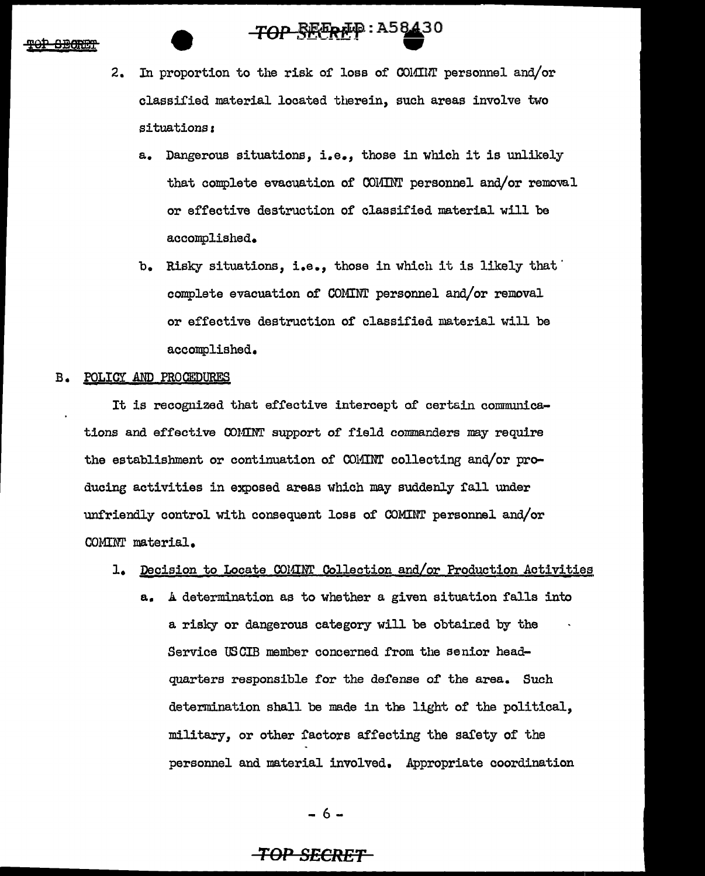## TOP SEEREP: A58430

- 2. In proportion to the risk of loss of COlfillr personnel and/or classified material located therein, such areas involve two situations:
	- a. Dangerous situations, i.e., those in which it is unlikely that complete evacuation of COMINT personnel and/or removal or effective destruction of classified material will be accomplished.
	- b. Risky situations, i.e., those in which it is likely that complete evacuation of COMINT personnel and/or removal or effective destruction of classified material will be accomplished.

### B. POLICY AND PROCEDURES

It is recognized that effective intercept of certain communications and effective COMINT support of field commanders may require the establishment or continuation of COMINT collecting and/or producing activities in exposed areas which may suddenly fall under unfriendly control with consequent loss of COMINT personnel and/or COMINI' material.

### 1. Decision to Locate COMINT Collection and/or Production Activities

a. A determination as to whether a given situation falls into a risky or dangerous category will be obtained by the Service USCIB member concerned from the senior headquarters responsible for the defense of the area. Such determination shall be made in the light of the political, military, or other factors affecting the safety of the personnel and material involved. Appropriate coordination

- 6 -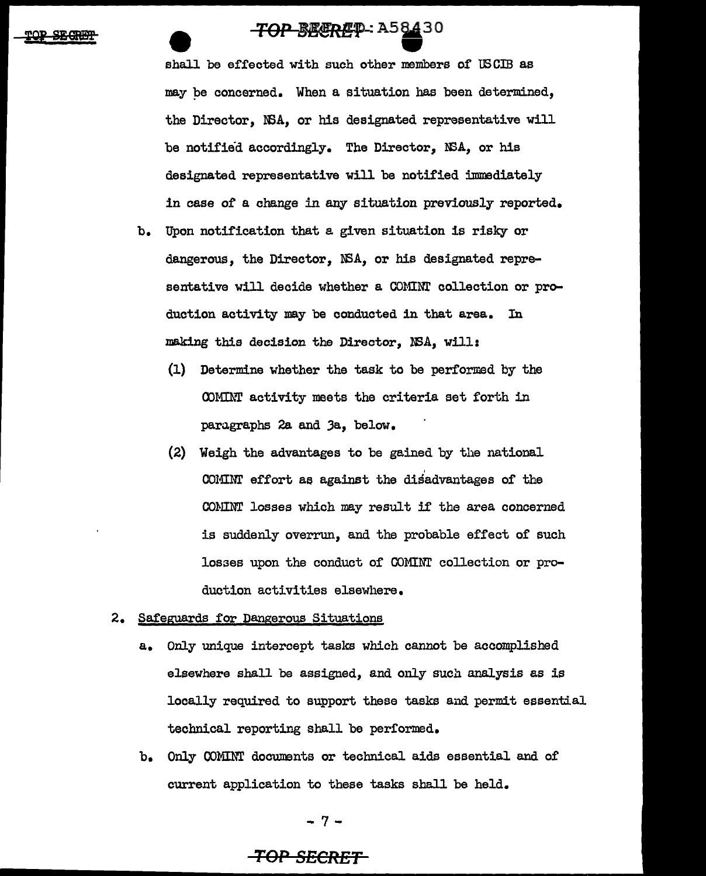**TOP BEEREQ.: A58430**<br>shall be effected with such other members of USCIB as may pe concerned. When a situation has been determined, the Director, NSA, or his designated representative will be notified accordingly. The Director, NSA, or his designated representative will be notified immediately in case of a change in any situation previously reported.

- b. Upon notification that a given situation is risky or dangerous, the Director, WA, or his designated representative will decide whether a COMINT collection or production activity may be conducted in that area. In making this decision the Director, NSA, will:
	- (1) Determine whether the task to be performed by the COMINT activity meets the criteria set forth in paragraphs 2a and Ja, below.
	- (2) Weigh the advantages to be gained by the national ' COMINT effort ae against the disadvantages of the COMINT losses which may result if the area concerned is suddenly overrun, and the probable effect of such losses upon the conduct of COMINT collection or production activities elsewhere.
- 2. Safeguards for Dangerous Situations
	- a. Only unique intercept tasks which cannot be accomplished elsewhere shall be assigned, and only such analysis as is locally required to support these tasks and permit essential technical reporting shall be performed.
	- b. Only COMINT documents or technical aids essential and or current application to these tasks shall be held.

-7-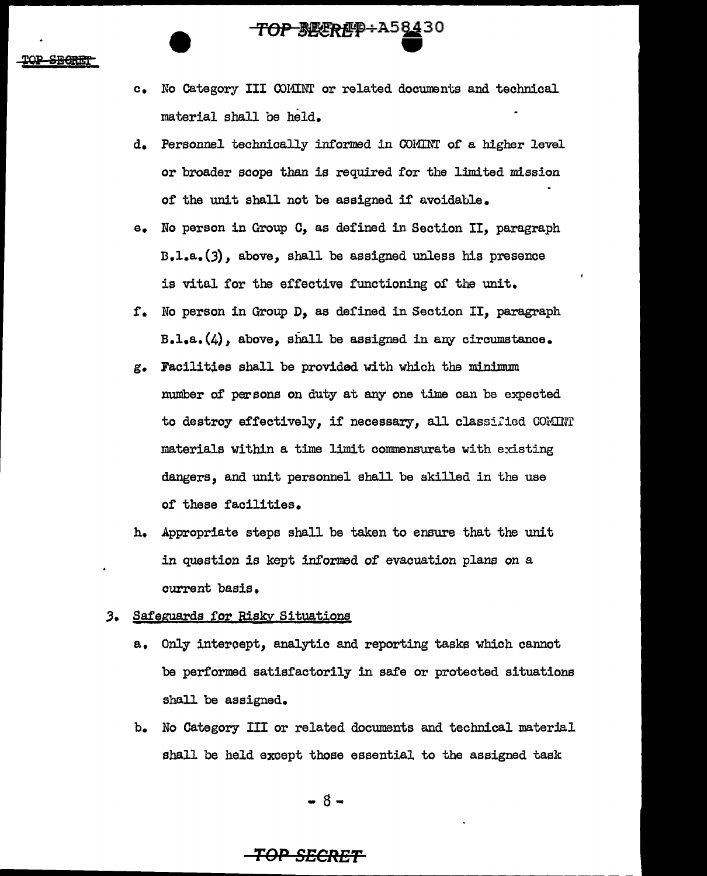c. No Category III COMINT or related documents and technical material shall be held.

**TOP**~BEEREP+A58430

- d. Personnel technically informed in COMINT of a higher level or broader scope than is required for the limited mission of' the unit shall not be assigned if avoidable.
- e. No person in Group C, as defined in Section II, paragraph n.1.a.(J), above, shall be assigned unless his presence is vital for the effective functioning of the unit.
- f'. No person in Group D, as defined in Section II, paragraph B.l.a.(4), above, shall be assigned in any circumstance.
- g. Facilities shall be provided with which the minimum number of' persons on duty at any one time can be expected to destroy effectively, if necessary, all classified COMINT materials within a time limit commensurate with existing dangers, and unit personnel shall be skilled in the use of these facilities.
- h. Appropriate steps shall be taken to ensure that the unit in question is kept informed of evacuation plans *on* a current basis.

### 3. Safeguards for Risky Situations

- a. Only intercept, analytic and reporting tasks which cannot be performed satisfactorily in safe or protected situations shall be assigned.
- b. No Category III or related documents and technical material shall be held except those essential to the assigned task

- 8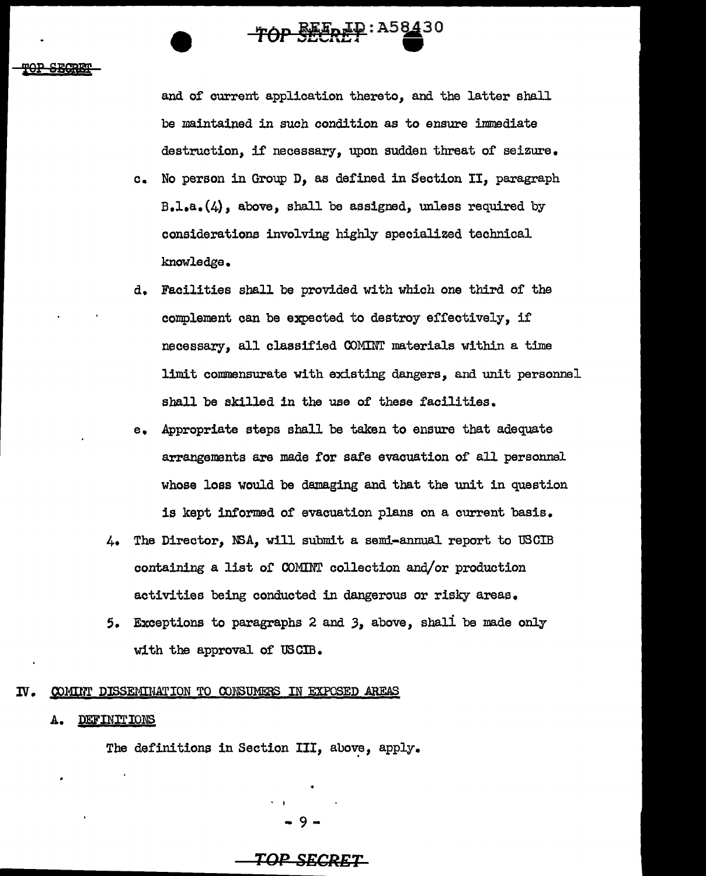**'fOP S§P** 

and of current application thereto, and the latter shall be maintained in such condition as to ensure immediate destruction, if necessary, upon sudden threat of seizure.

TOP SEEREP: A58430

- c. No person in Group D, as defined in Section II, paragraph  $B.1. a. (4)$ , above, shall be assigned, unless required by considerations involving highly specialized technical knowledge.
- d. Facilities shall be provided with which one third of the complement can be expected to destroy effectively, if necessary, all classified COMINT materials within a time limit commensurate with existing dangers, and unit personnel shall be skilled in the use of these facilities.
- e. Appropriate steps shall be taken to ensure that adequate arrangements are made for safe evacuation of all personnel whose loss would be damaging and that the unit in question is kept informed of evacuation plans on a current basis.
- 4. The Director, NSA, will submit a semi-annual report to USCIB containing a list or COMINT collection and/or production activities being conducted in dangerous or risky areas.
- 5. Exceptions to paragraphs 2 and 3, above, shall be made only with the approval of USCIB.

### IV. COMINT DISSEMINATION TO CONSUMERS IN EXPOSED AREAS

### A. DEFINITIONS

The definitions in Section III, above, apply.

9-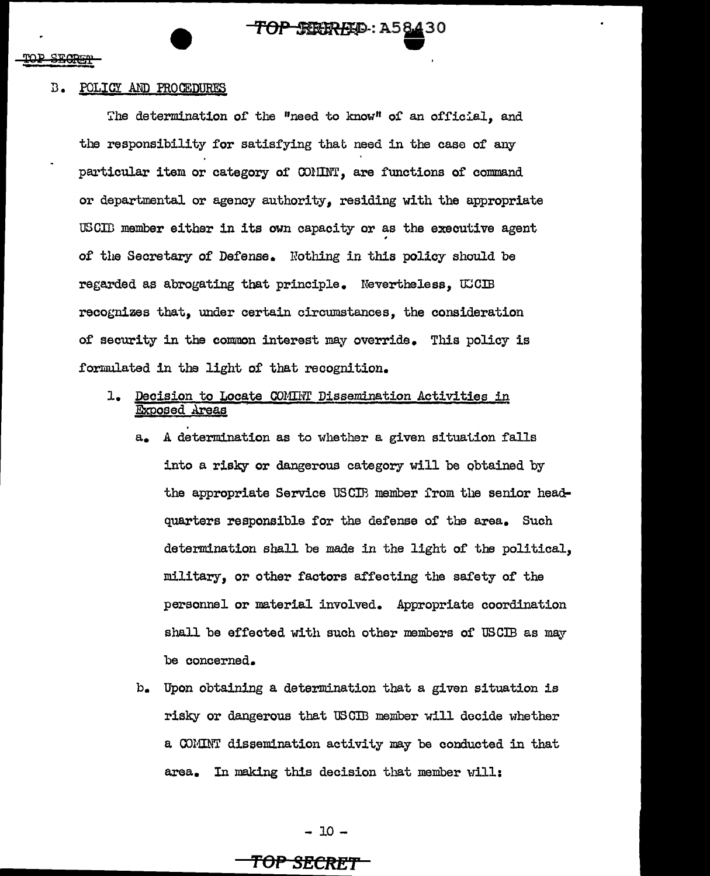### B. POLICY AND PROCEDURES

The determination of the "need to know" of an official, and the responsibility for satisfying that need in the case of any particular item or category of OOlIINT, are functions of' command or departmental or agency authority, residing with the appropriate USCII member either in its own capacity or as the executive agent of the Secretary of Defense. Nothing in this policy should be regarded as abrogating that principle. Nevertheless, UCCIB recognizes that, under certain circumstances, the consideration of security in the common interest may override. This policy is formulated in the light of that recognition.

**TOP SEEREED: A58430** 

**243** 

- 1. Decision to Locate COMIHT Dissemination Activities in Exposed Areas
	- a. A determination as to whether a given situation falls into a risky or dangerous category will be obtained by the appropriate Service USCIB member from the senior heaclquarters responsible for the defense of the area. Such determination shall be made in the light of the political, military, or other factors affecting the safety of the personnel or material involved. Appropriate coordination shall be effected with such other members of USCIB as may be concerned.
	- b. Upon obtaining a determination that a given situation is risky or dangerous that USCIB member will decide whether a COMINT dissemination activity may be conducted in that area. In making this decision that member will:

- 10 -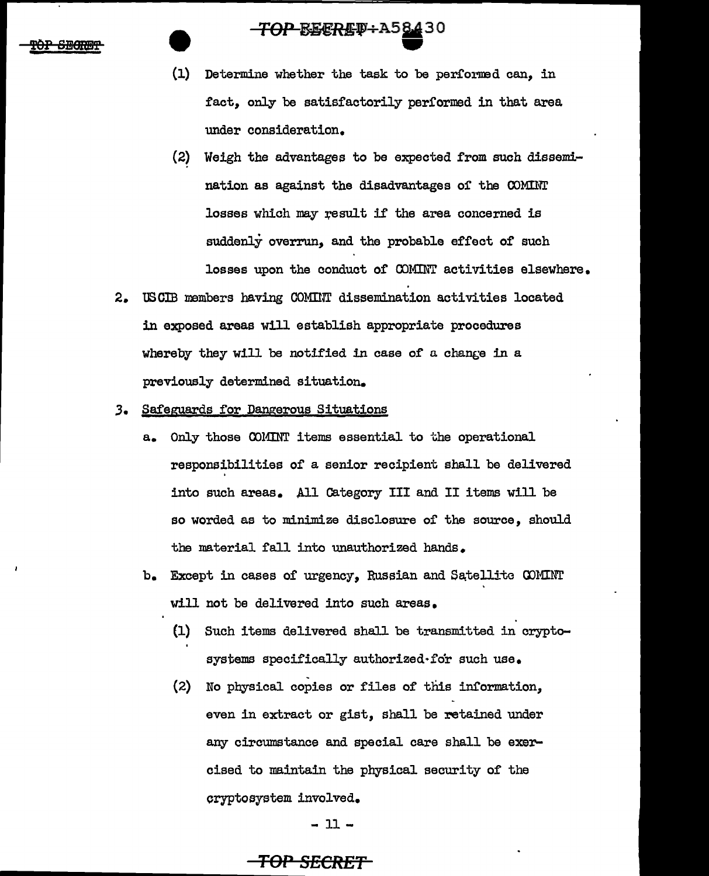### **TOP-BEERET+A5<u>84</u>30**

- (1) Determine whether the task to be per£orned can, in fact, only be satisfactorily performed in that area under consideration.
- (2) Weigh the advantages to be expected from such dissemination as against the disadvantages of the COMINT losses which may result if the area concerned is suddenly overrun, and the probable effect of such losses upon the conduct of COMINT activities elsewhere.
- 2. USCIB members having COMINT dissemination activities located in exposed areas will establish appropriate procedures whereby they will be notified in case of a change in a previously determined situation.
- ,3. Safeguards for Dangerous Situations
	- a. Only those COMINT items essential to the operational responsibilities of a senior recipient shall be delivered into such areas. All Category III and II items will be so worded as to minimize disclosure of the source, should the material fall into unauthorized hands.
	- b. Except in cases of urgency, Russian and Satellite COMINT will not be delivered into such areas.
		- (1) Such items delivered shall be transmitted in cryptosystems specifically authorized•for such use.
		- (2) No physical copies or files of this information, even in extract or gist, shall be retained under any circumstance and special care shall be exercised to maintain the physical security of the cryptosystem involved.

- 11-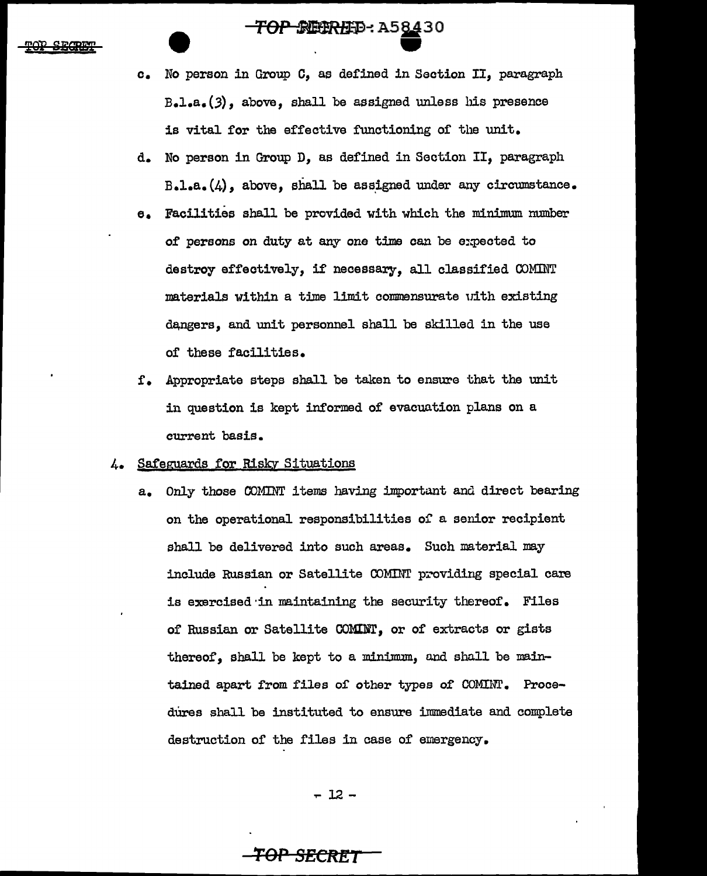~--:AS§.130 •

- c. No person in Group c, as defined in Section II, paragraph B.l.a.(3), above, shall be assigned unless his presence is vital for the effective functioning of the unit.
- d. No person in Group D, as defined in Section II, paragraph  $B - l - a$ . $(4)$ , above, shall be assigned under any circumstance.
- e. Facilities shall be provided with which the minimum number of persons on duty at any one time can be expected to destroy effectively, if necessary, all classified COMINT materials within a time limit commensurate uith existing dangers, and unit personnel shall be skilled in the use of these facilities.
- f. Appropriate steps shall be taken to ensure that the unit in question is kept informed of evacuation plans on a current basis.

### 4. Safeguards for Risky Situations

a. Only those COMINT items having important and direct bearing on the operational responsibilities of a senior recipient shall be delivered into such areas. Such material may include Russian or Satellite COMINT providing special care is exercised ·in maintaining the security thereof. Files of Russian or Satellite COMINT, or of extracts or gists thereof, shall be kept to a minimum, and shall be maintained apart from files of other types of COMINT. Procedures shall be instituted to ensure immediate and complete destruction of the files in case of emergency.

 $-12 -$ 

### *TOP* **SECftl!T**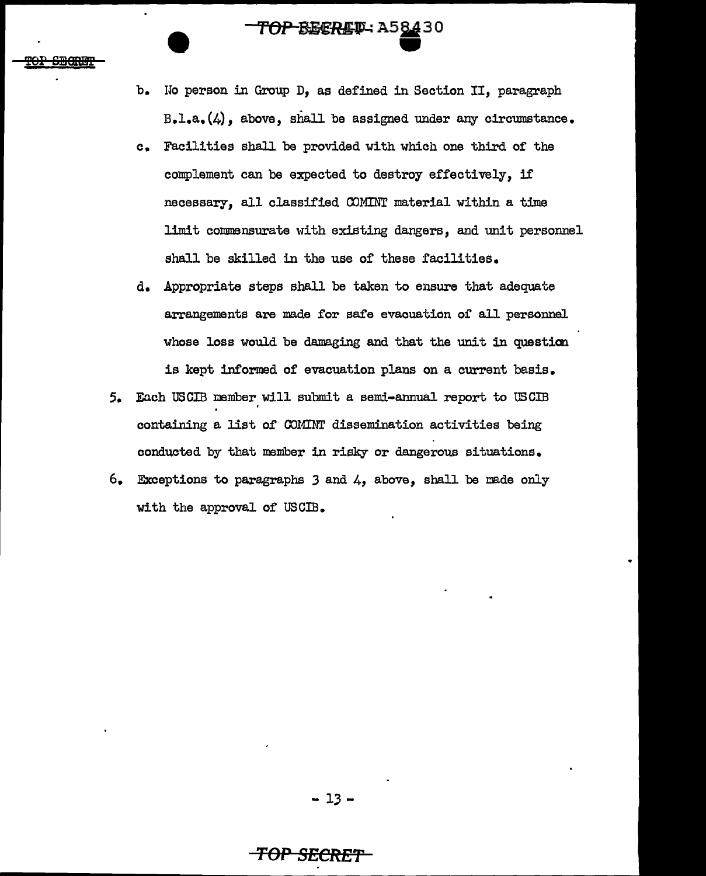# **TOP-BECRET: A58430**

- b. No person in Group D, as defined in Section II, paragraph B.l.a.(4), above, shall be assigned under any circumstance.
- c. Facilities shall be provided with which one third of the complement can be expected to destroy effectively, if necessary, all classified COMINT material within a time limit commensurate with existing dangers, and unit personnel shall be skilled in the use of these facilities.
- d. Appropriate steps shall be taken to ensure that adequate arrangements are made for safe evacuation or all personnel whose loss would be damaging and that the unit in question is kept informed of evacuation plans on a current basis.
- 5. Each USCIB member will submit a semi-annual report to USCIB . containing a list of COMINT dissemination activities being conducted by that member in risky or dangerous situations.
- 6. Exceptions to paragraphs 3 and 4, above, shall be made only with the approval of USCIB.

### **TOP SECRE'f'**